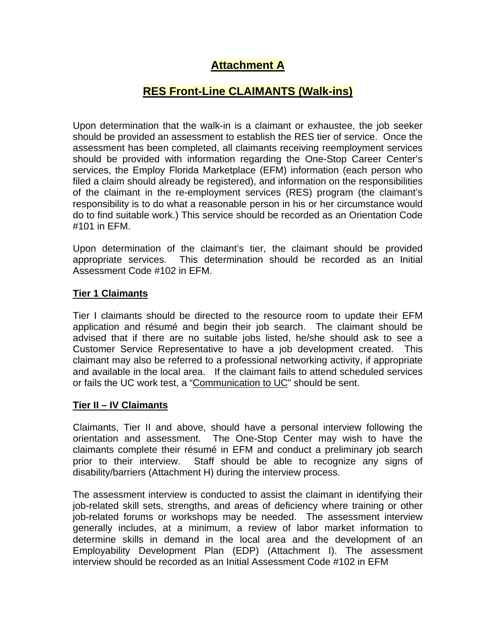# **Attachment A**

## **RES Front-Line CLAIMANTS (Walk-ins)**

Upon determination that the walk-in is a claimant or exhaustee, the job seeker should be provided an assessment to establish the RES tier of service. Once the assessment has been completed, all claimants receiving reemployment services should be provided with information regarding the One-Stop Career Center's services, the Employ Florida Marketplace (EFM) information (each person who filed a claim should already be registered), and information on the responsibilities of the claimant in the re-employment services (RES) program (the claimant's responsibility is to do what a reasonable person in his or her circumstance would do to find suitable work.) This service should be recorded as an Orientation Code #101 in EFM.

Upon determination of the claimant's tier, the claimant should be provided appropriate services. This determination should be recorded as an Initial Assessment Code #102 in EFM.

#### **Tier 1 Claimants**

Tier I claimants should be directed to the resource room to update their EFM application and résumé and begin their job search. The claimant should be advised that if there are no suitable jobs listed, he/she should ask to see a Customer Service Representative to have a job development created. This claimant may also be referred to a professional networking activity, if appropriate and available in the local area. If the claimant fails to attend scheduled services or fails the UC work test, a ["Communication to UC](http://intra.awi.state.fl.us/onestop/RemServ.asp)" should be sent.

## **Tier II – IV Claimants**

Claimants, Tier II and above, should have a personal interview following the orientation and assessment. The One-Stop Center may wish to have the claimants complete their résumé in EFM and conduct a preliminary job search prior to their interview. Staff should be able to recognize any signs of disability/barriers (Attachment H) during the interview process.

The assessment interview is conducted to assist the claimant in identifying their job-related skill sets, strengths, and areas of deficiency where training or other job-related forums or workshops may be needed. The assessment interview generally includes, at a minimum, a review of labor market information to determine skills in demand in the local area and the development of an Employability Development Plan (EDP) (Attachment I). The assessment interview should be recorded as an Initial Assessment Code #102 in EFM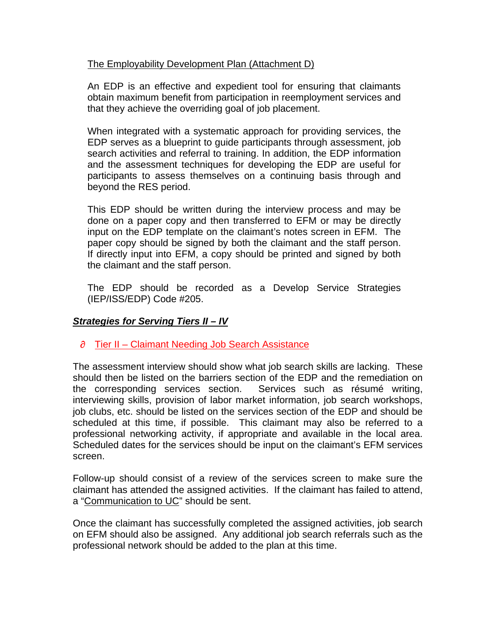## The Employability Development Plan (Attachment D)

An EDP is an effective and expedient tool for ensuring that claimants obtain maximum benefit from participation in reemployment services and that they achieve the overriding goal of job placement.

When integrated with a systematic approach for providing services, the EDP serves as a blueprint to guide participants through assessment, job search activities and referral to training. In addition, the EDP information and the assessment techniques for developing the EDP are useful for participants to assess themselves on a continuing basis through and beyond the RES period.

This EDP should be written during the interview process and may be done on a paper copy and then transferred to EFM or may be directly input on the EDP template on the claimant's notes screen in EFM. The paper copy should be signed by both the claimant and the staff person. If directly input into EFM, a copy should be printed and signed by both the claimant and the staff person.

The EDP should be recorded as a Develop Service Strategies (IEP/ISS/EDP) Code #205.

## *Strategies for Serving Tiers II – IV*

#### $\partial$  Tier II – Claimant Needing Job Search Assistance

The assessment interview should show what job search skills are lacking. These should then be listed on the barriers section of the EDP and the remediation on the corresponding services section. Services such as résumé writing, interviewing skills, provision of labor market information, job search workshops, job clubs, etc. should be listed on the services section of the EDP and should be scheduled at this time, if possible. This claimant may also be referred to a professional networking activity, if appropriate and available in the local area. Scheduled dates for the services should be input on the claimant's EFM services screen.

Follow-up should consist of a review of the services screen to make sure the claimant has attended the assigned activities. If the claimant has failed to attend, a ["Communication to UC](http://intra.awi.state.fl.us/onestop/RemServ.asp)" should be sent.

Once the claimant has successfully completed the assigned activities, job search on EFM should also be assigned. Any additional job search referrals such as the professional network should be added to the plan at this time.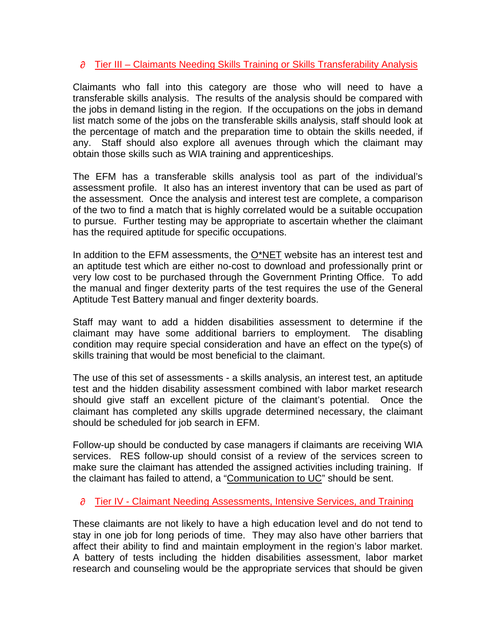## $\partial$  Tier III – Claimants Needing Skills Training or Skills Transferability Analysis

Claimants who fall into this category are those who will need to have a transferable skills analysis. The results of the analysis should be compared with the jobs in demand listing in the region. If the occupations on the jobs in demand list match some of the jobs on the transferable skills analysis, staff should look at the percentage of match and the preparation time to obtain the skills needed, if any. Staff should also explore all avenues through which the claimant may obtain those skills such as WIA training and apprenticeships.

The EFM has a transferable skills analysis tool as part of the individual's assessment profile. It also has an interest inventory that can be used as part of the assessment. Once the analysis and interest test are complete, a comparison of the two to find a match that is highly correlated would be a suitable occupation to pursue. Further testing may be appropriate to ascertain whether the claimant has the required aptitude for specific occupations.

In addition to the EFM assessments, the [O\\*NET](http://www.onetcenter.org/tools.html) website has an interest test and an aptitude test which are either no-cost to download and professionally print or very low cost to be purchased through the Government Printing Office. To add the manual and finger dexterity parts of the test requires the use of the General Aptitude Test Battery manual and finger dexterity boards.

Staff may want to add a hidden disabilities assessment to determine if the claimant may have some additional barriers to employment. The disabling condition may require special consideration and have an effect on the type(s) of skills training that would be most beneficial to the claimant.

The use of this set of assessments - a skills analysis, an interest test, an aptitude test and the hidden disability assessment combined with labor market research should give staff an excellent picture of the claimant's potential. Once the claimant has completed any skills upgrade determined necessary, the claimant should be scheduled for job search in EFM.

Follow-up should be conducted by case managers if claimants are receiving WIA services. RES follow-up should consist of a review of the services screen to make sure the claimant has attended the assigned activities including training. If the claimant has failed to attend, a ["Communication to UC](http://intra.awi.state.fl.us/onestop/RemServ.asp)" should be sent.

## $\partial$  Tier IV - Claimant Needing Assessments, Intensive Services, and Training

These claimants are not likely to have a high education level and do not tend to stay in one job for long periods of time. They may also have other barriers that affect their ability to find and maintain employment in the region's labor market. A battery of tests including the hidden disabilities assessment, labor market research and counseling would be the appropriate services that should be given